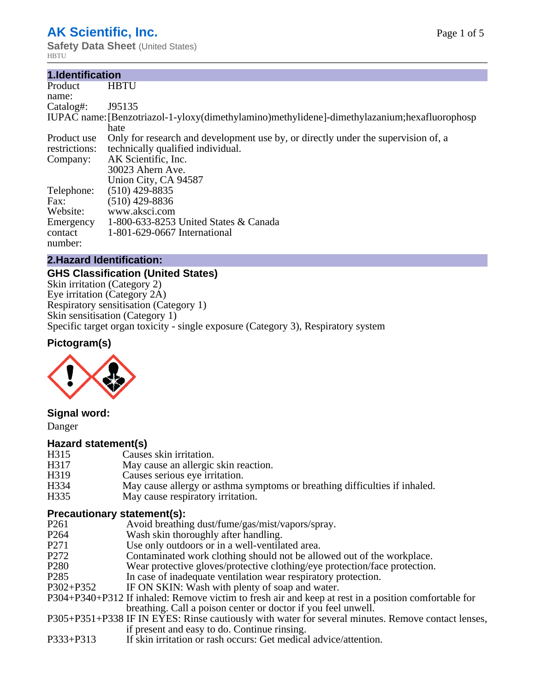# **AK Scientific, Inc.**

**Safety Data Sheet** (United States) **HBTU** 

# **1.Identification**

| Product       | <b>HBTU</b>                                                                                   |
|---------------|-----------------------------------------------------------------------------------------------|
| name:         |                                                                                               |
| Catalog#:     | J95135                                                                                        |
|               | IUPAC name: [Benzotriazol-1-yloxy(dimethylamino)methylidene]-dimethylazanium; hexafluorophosp |
|               | hate                                                                                          |
| Product use   | Only for research and development use by, or directly under the supervision of, a             |
| restrictions: | technically qualified individual.                                                             |
| Company:      | AK Scientific, Inc.                                                                           |
|               | 30023 Ahern Ave.                                                                              |
|               | Union City, CA 94587                                                                          |
| Telephone:    | $(510)$ 429-8835                                                                              |
| Fax:          | $(510)$ 429-8836                                                                              |
| Website:      | www.aksci.com                                                                                 |
| Emergency     | 1-800-633-8253 United States & Canada                                                         |
| contact       | 1-801-629-0667 International                                                                  |
| number:       |                                                                                               |
|               |                                                                                               |

# **2.Hazard Identification:**

# **GHS Classification (United States)**

Skin irritation (Category 2) Eye irritation (Category 2A) Respiratory sensitisation (Category 1) Skin sensitisation (Category 1) Specific target organ toxicity - single exposure (Category 3), Respiratory system

# **Pictogram(s)**



# **Signal word:**

Danger

# **Hazard statement(s)**

H315 Causes skin irritation.<br>H317 May cause an allergic H317 May cause an allergic skin reaction.<br>H319 Causes serious eve irritation. H319 Causes serious eye irritation.<br>H334 May cause allergy or asthma May cause allergy or asthma symptoms or breathing difficulties if inhaled. H335 May cause respiratory irritation.

# **Precautionary statement(s):**

- P261 Avoid breathing dust/fume/gas/mist/vapors/spray.<br>P264 Wash skin thoroughly after handling.
- Wash skin thoroughly after handling.
- P271 Use only outdoors or in a well-ventilated area.
- P272 Contaminated work clothing should not be allowed out of the workplace.
- P280 Wear protective gloves/protective clothing/eye protection/face protection.
- P285 In case of inadequate ventilation wear respiratory protection.
- P302+P352 IF ON SKIN: Wash with plenty of soap and water.
- P304+P340+P312 If inhaled: Remove victim to fresh air and keep at rest in a position comfortable for breathing. Call a poison center or doctor if you feel unwell.
- P305+P351+P338 IF IN EYES: Rinse cautiously with water for several minutes. Remove contact lenses, if present and easy to do. Continue rinsing.
- P333+P313 If skin irritation or rash occurs: Get medical advice/attention.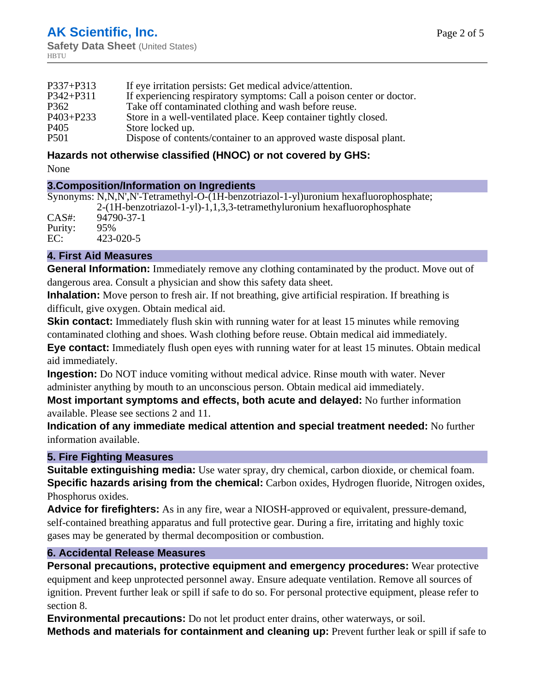| $P337 + P313$    | If eye irritation persists: Get medical advice/attention.             |
|------------------|-----------------------------------------------------------------------|
| $P342 + P311$    | If experiencing respiratory symptoms: Call a poison center or doctor. |
| P <sub>362</sub> | Take off contaminated clothing and wash before reuse.                 |
| $P403 + P233$    | Store in a well-ventilated place. Keep container tightly closed.      |
| P <sub>405</sub> | Store locked up.                                                      |
| <b>P501</b>      | Dispose of contents/container to an approved waste disposal plant.    |

# **Hazards not otherwise classified (HNOC) or not covered by GHS:**

None

#### **3.Composition/Information on Ingredients**

Synonyms: N,N,N',N'-Tetramethyl-O-(1H-benzotriazol-1-yl)uronium hexafluorophosphate; 2-(1H-benzotriazol-1-yl)-1,1,3,3-tetramethyluronium hexafluorophosphate CAS#: 94790-37-1 Purity: 95% EC:  $423-020-5$ 

# **4. First Aid Measures**

**General Information:** Immediately remove any clothing contaminated by the product. Move out of dangerous area. Consult a physician and show this safety data sheet.

**Inhalation:** Move person to fresh air. If not breathing, give artificial respiration. If breathing is difficult, give oxygen. Obtain medical aid.

**Skin contact:** Immediately flush skin with running water for at least 15 minutes while removing contaminated clothing and shoes. Wash clothing before reuse. Obtain medical aid immediately.

**Eye contact:** Immediately flush open eyes with running water for at least 15 minutes. Obtain medical aid immediately.

**Ingestion:** Do NOT induce vomiting without medical advice. Rinse mouth with water. Never administer anything by mouth to an unconscious person. Obtain medical aid immediately.

**Most important symptoms and effects, both acute and delayed:** No further information available. Please see sections 2 and 11.

**Indication of any immediate medical attention and special treatment needed:** No further information available.

# **5. Fire Fighting Measures**

**Suitable extinguishing media:** Use water spray, dry chemical, carbon dioxide, or chemical foam. **Specific hazards arising from the chemical:** Carbon oxides, Hydrogen fluoride, Nitrogen oxides, Phosphorus oxides.

**Advice for firefighters:** As in any fire, wear a NIOSH-approved or equivalent, pressure-demand, self-contained breathing apparatus and full protective gear. During a fire, irritating and highly toxic gases may be generated by thermal decomposition or combustion.

# **6. Accidental Release Measures**

**Personal precautions, protective equipment and emergency procedures:** Wear protective equipment and keep unprotected personnel away. Ensure adequate ventilation. Remove all sources of ignition. Prevent further leak or spill if safe to do so. For personal protective equipment, please refer to section 8.

**Environmental precautions:** Do not let product enter drains, other waterways, or soil. **Methods and materials for containment and cleaning up:** Prevent further leak or spill if safe to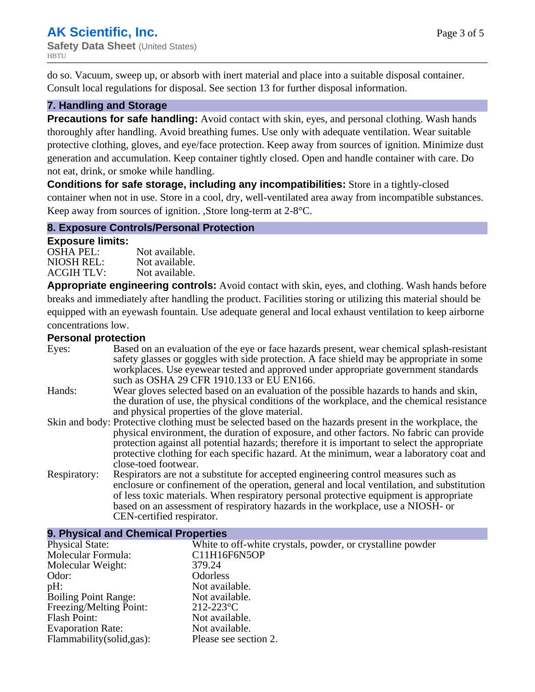do so. Vacuum, sweep up, or absorb with inert material and place into a suitable disposal container. Consult local regulations for disposal. See section 13 for further disposal information.

#### **7. Handling and Storage**

**Precautions for safe handling:** Avoid contact with skin, eyes, and personal clothing. Wash hands thoroughly after handling. Avoid breathing fumes. Use only with adequate ventilation. Wear suitable protective clothing, gloves, and eye/face protection. Keep away from sources of ignition. Minimize dust generation and accumulation. Keep container tightly closed. Open and handle container with care. Do not eat, drink, or smoke while handling.

**Conditions for safe storage, including any incompatibilities:** Store in a tightly-closed container when not in use. Store in a cool, dry, well-ventilated area away from incompatible substances. Keep away from sources of ignition. ,Store long-term at 2-8°C.

#### **8. Exposure Controls/Personal Protection**

#### **Exposure limits:**

| <b>OSHA PEL:</b>  | Not available. |
|-------------------|----------------|
| NIOSH REL:        | Not available. |
| <b>ACGIH TLV:</b> | Not available. |

**9. Physical and Chemical Properties**

**Appropriate engineering controls:** Avoid contact with skin, eyes, and clothing. Wash hands before breaks and immediately after handling the product. Facilities storing or utilizing this material should be equipped with an eyewash fountain. Use adequate general and local exhaust ventilation to keep airborne concentrations low.

#### **Personal protection**

| . 9. 99. .u. p. 9.999 |                                                                                                                                                                                                                                                                                                                                                                                                                         |
|-----------------------|-------------------------------------------------------------------------------------------------------------------------------------------------------------------------------------------------------------------------------------------------------------------------------------------------------------------------------------------------------------------------------------------------------------------------|
| Eyes:                 | Based on an evaluation of the eye or face hazards present, wear chemical splash-resistant<br>safety glasses or goggles with side protection. A face shield may be appropriate in some<br>workplaces. Use eyewear tested and approved under appropriate government standards<br>such as OSHA 29 CFR 1910.133 or EU EN166.                                                                                                |
| Hands:                | Wear gloves selected based on an evaluation of the possible hazards to hands and skin,<br>the duration of use, the physical conditions of the workplace, and the chemical resistance<br>and physical properties of the glove material.                                                                                                                                                                                  |
|                       | Skin and body: Protective clothing must be selected based on the hazards present in the workplace, the<br>physical environment, the duration of exposure, and other factors. No fabric can provide<br>protection against all potential hazards; therefore it is important to select the appropriate<br>protective clothing for each specific hazard. At the minimum, wear a laboratory coat and<br>close-toed footwear. |
| Respiratory:          | Respirators are not a substitute for accepted engineering control measures such as<br>enclosure or confinement of the operation, general and local ventilation, and substitution<br>of less toxic materials. When respiratory personal protective equipment is appropriate<br>based on an assessment of respiratory hazards in the workplace, use a NIOSH- or<br>CEN-certified respirator.                              |

| 9. Physical and Unemical Properties |                                                            |  |
|-------------------------------------|------------------------------------------------------------|--|
| <b>Physical State:</b>              | White to off-white crystals, powder, or crystalline powder |  |
| Molecular Formula:                  | C11H16F6N5OP                                               |  |
| Molecular Weight:                   | 379.24                                                     |  |
| Odor:                               | <b>Odorless</b>                                            |  |
| pH:                                 | Not available.                                             |  |
| <b>Boiling Point Range:</b>         | Not available.                                             |  |
| Freezing/Melting Point:             | $212 - 223$ °C                                             |  |
| <b>Flash Point:</b>                 | Not available.                                             |  |
| <b>Evaporation Rate:</b>            | Not available.                                             |  |
| Flammability(solid,gas):            | Please see section 2.                                      |  |
|                                     |                                                            |  |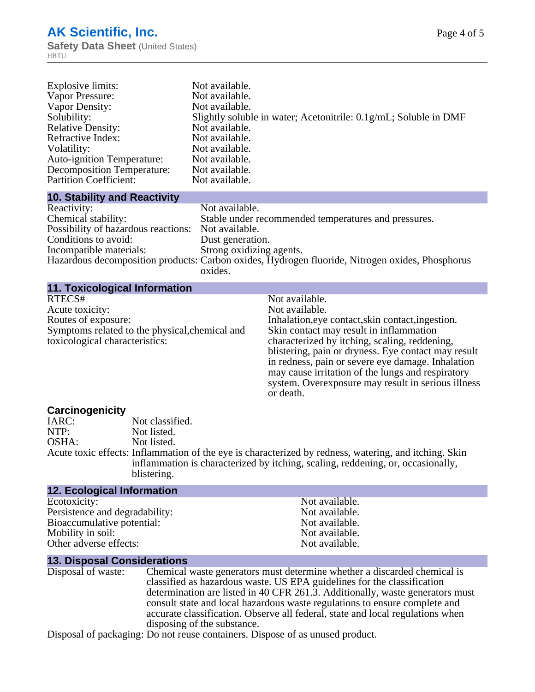| Explosive limits:                 | Not available.                                                   |
|-----------------------------------|------------------------------------------------------------------|
| Vapor Pressure:                   | Not available.                                                   |
| Vapor Density:                    | Not available.                                                   |
| Solubility:                       | Slightly soluble in water; Acetonitrile: 0.1g/mL; Soluble in DMF |
| <b>Relative Density:</b>          | Not available.                                                   |
| Refractive Index:                 | Not available.                                                   |
| Volatility:                       | Not available.                                                   |
| <b>Auto-ignition Temperature:</b> | Not available.                                                   |
| <b>Decomposition Temperature:</b> | Not available.                                                   |
| <b>Partition Coefficient:</b>     | Not available.                                                   |
|                                   |                                                                  |

#### **10. Stability and Reactivity**

| Reactivity:                                        | Not available.                                                                                  |
|----------------------------------------------------|-------------------------------------------------------------------------------------------------|
| Chemical stability:                                | Stable under recommended temperatures and pressures.                                            |
| Possibility of hazardous reactions: Not available. |                                                                                                 |
| Conditions to avoid:                               | Dust generation.                                                                                |
| Incompatible materials:                            | Strong oxidizing agents.                                                                        |
|                                                    | Hazardous decomposition products: Carbon oxides, Hydrogen fluoride, Nitrogen oxides, Phosphorus |
|                                                    | oxides.                                                                                         |

Not available.

### **11. Toxicological Information**

| RTECS#                                         |
|------------------------------------------------|
| Acute toxicity:                                |
| Routes of exposure:                            |
| Symptoms related to the physical, chemical and |
| toxicological characteristics:                 |

Not available. Inhalation,eye contact, skin contact, ingestion. Skin contact may result in inflammation characterized by itching, scaling, reddening, blistering, pain or dryness. Eye contact may result in redness, pain or severe eye damage. Inhalation may cause irritation of the lungs and respiratory system. Overexposure may result in serious illness or death.

#### **Carcinogenicity**

| IARC: | Not classified.                                                                                                                                                                                         |
|-------|---------------------------------------------------------------------------------------------------------------------------------------------------------------------------------------------------------|
| NTP:  | Not listed.                                                                                                                                                                                             |
| OSHA: | Not listed.                                                                                                                                                                                             |
|       | Acute toxic effects: Inflammation of the eye is characterized by redness, watering, and itching. Skin<br>inflammation is characterized by itching, scaling, reddening, or, occasionally,<br>blistering. |
|       |                                                                                                                                                                                                         |

| <b>12. Ecological Information</b> |                |
|-----------------------------------|----------------|
| Ecotoxicity:                      | Not available. |
| Persistence and degradability:    | Not available. |
| Bioaccumulative potential:        | Not available. |
| Mobility in soil:                 | Not available. |
| Other adverse effects:            | Not available. |

#### **13. Disposal Considerations**

| Disposal of waste: | Chemical waste generators must determine whether a discarded chemical is       |
|--------------------|--------------------------------------------------------------------------------|
|                    | classified as hazardous waste. US EPA guidelines for the classification        |
|                    | determination are listed in 40 CFR 261.3. Additionally, waste generators must  |
|                    | consult state and local hazardous waste regulations to ensure complete and     |
|                    | accurate classification. Observe all federal, state and local regulations when |
|                    | disposing of the substance.                                                    |

Disposal of packaging: Do not reuse containers. Dispose of as unused product.